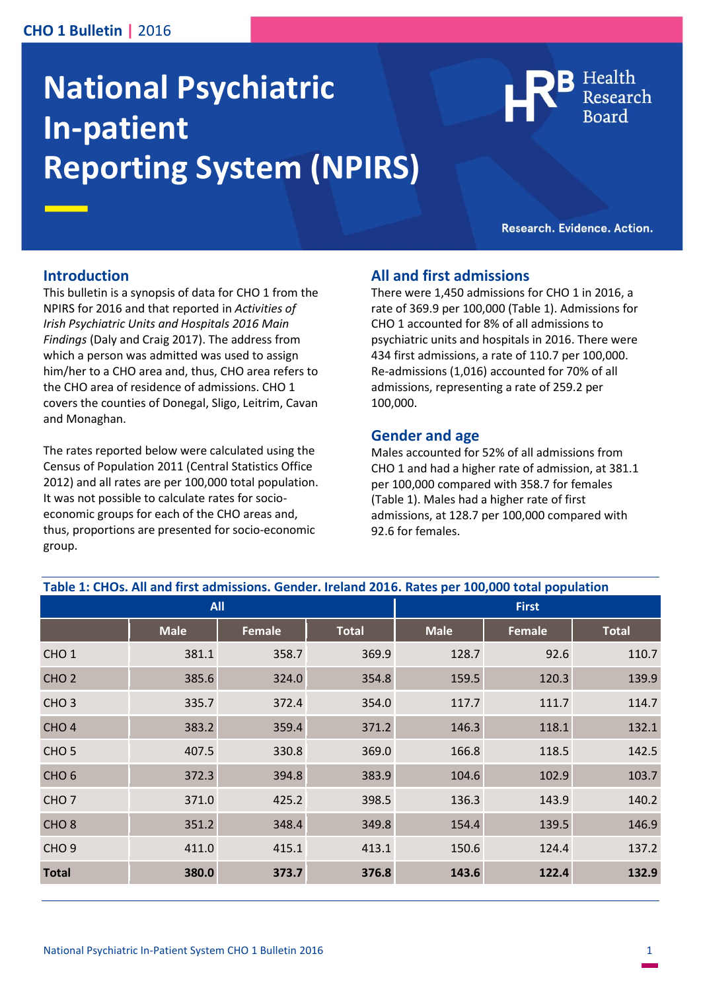## **CHO 1 Bulletin |** 2016

# **National Psychiatric In-patient Reporting System (NPIRS)**



Research. Evidence. Action.

#### **Introduction**

This bulletin is a synopsis of data for CHO 1 from the NPIRS for 2016 and that reported in *Activities of Irish Psychiatric Units and Hospitals 2016 Main Findings* (Daly and Craig 2017). The address from which a person was admitted was used to assign him/her to a CHO area and, thus, CHO area refers to the CHO area of residence of admissions. CHO 1 covers the counties of Donegal, Sligo, Leitrim, Cavan and Monaghan.

The rates reported below were calculated using the Census of Population 2011 (Central Statistics Office 2012) and all rates are per 100,000 total population. It was not possible to calculate rates for socioeconomic groups for each of the CHO areas and, thus, proportions are presented for socio-economic group.

#### **All and first admissions**

There were 1,450 admissions for CHO 1 in 2016, a rate of 369.9 per 100,000 (Table 1). Admissions for CHO 1 accounted for 8% of all admissions to psychiatric units and hospitals in 2016. There were 434 first admissions, a rate of 110.7 per 100,000. Re-admissions (1,016) accounted for 70% of all admissions, representing a rate of 259.2 per 100,000.

#### **Gender and age**

Males accounted for 52% of all admissions from CHO 1 and had a higher rate of admission, at 381.1 per 100,000 compared with 358.7 for females (Table 1). Males had a higher rate of first admissions, at 128.7 per 100,000 compared with 92.6 for females.

| Table 1: CHOs. All and first admissions. Gender. Ireland 2016. Rates per 100,000 total population |             |        |              |              |               |              |
|---------------------------------------------------------------------------------------------------|-------------|--------|--------------|--------------|---------------|--------------|
| <b>All</b>                                                                                        |             |        |              | <b>First</b> |               |              |
|                                                                                                   | <b>Male</b> | Female | <b>Total</b> | <b>Male</b>  | <b>Female</b> | <b>Total</b> |
| CHO <sub>1</sub>                                                                                  | 381.1       | 358.7  | 369.9        | 128.7        | 92.6          | 110.7        |
| CHO <sub>2</sub>                                                                                  | 385.6       | 324.0  | 354.8        | 159.5        | 120.3         | 139.9        |
| CHO <sub>3</sub>                                                                                  | 335.7       | 372.4  | 354.0        | 117.7        | 111.7         | 114.7        |
| CHO <sub>4</sub>                                                                                  | 383.2       | 359.4  | 371.2        | 146.3        | 118.1         | 132.1        |
| CHO <sub>5</sub>                                                                                  | 407.5       | 330.8  | 369.0        | 166.8        | 118.5         | 142.5        |
| CHO <sub>6</sub>                                                                                  | 372.3       | 394.8  | 383.9        | 104.6        | 102.9         | 103.7        |
| CHO <sub>7</sub>                                                                                  | 371.0       | 425.2  | 398.5        | 136.3        | 143.9         | 140.2        |
| CHO <sub>8</sub>                                                                                  | 351.2       | 348.4  | 349.8        | 154.4        | 139.5         | 146.9        |
| CHO <sub>9</sub>                                                                                  | 411.0       | 415.1  | 413.1        | 150.6        | 124.4         | 137.2        |
| <b>Total</b>                                                                                      | 380.0       | 373.7  | 376.8        | 143.6        | 122.4         | 132.9        |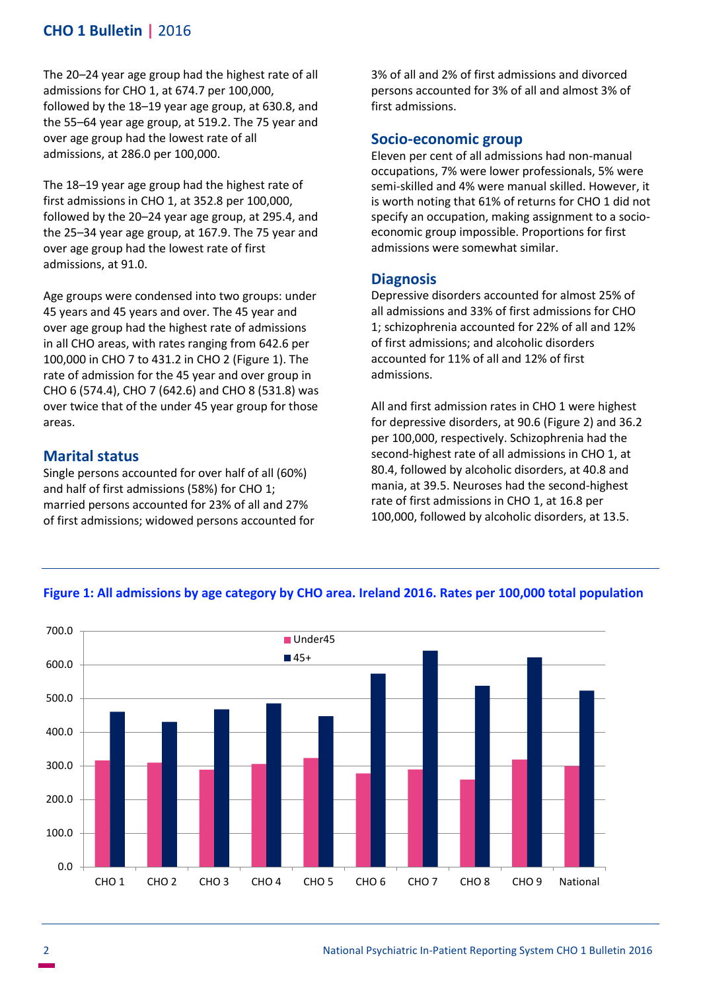# **CHO 1 Bulletin |** 2016

The 20–24 year age group had the highest rate of all admissions for CHO 1, at 674.7 per 100,000, followed by the 18–19 year age group, at 630.8, and the 55–64 year age group, at 519.2. The 75 year and over age group had the lowest rate of all admissions, at 286.0 per 100,000.

The 18–19 year age group had the highest rate of first admissions in CHO 1, at 352.8 per 100,000, followed by the 20–24 year age group, at 295.4, and the 25–34 year age group, at 167.9. The 75 year and over age group had the lowest rate of first admissions, at 91.0.

Age groups were condensed into two groups: under 45 years and 45 years and over. The 45 year and over age group had the highest rate of admissions in all CHO areas, with rates ranging from 642.6 per 100,000 in CHO 7 to 431.2 in CHO 2 (Figure 1). The rate of admission for the 45 year and over group in CHO 6 (574.4), CHO 7 (642.6) and CHO 8 (531.8) was over twice that of the under 45 year group for those areas.

## **Marital status**

Single persons accounted for over half of all (60%) and half of first admissions (58%) for CHO 1; married persons accounted for 23% of all and 27% of first admissions; widowed persons accounted for 3% of all and 2% of first admissions and divorced persons accounted for 3% of all and almost 3% of first admissions.

#### **Socio-economic group**

Eleven per cent of all admissions had non-manual occupations, 7% were lower professionals, 5% were semi-skilled and 4% were manual skilled. However, it is worth noting that 61% of returns for CHO 1 did not specify an occupation, making assignment to a socioeconomic group impossible. Proportions for first admissions were somewhat similar.

### **Diagnosis**

Depressive disorders accounted for almost 25% of all admissions and 33% of first admissions for CHO 1; schizophrenia accounted for 22% of all and 12% of first admissions; and alcoholic disorders accounted for 11% of all and 12% of first admissions.

All and first admission rates in CHO 1 were highest for depressive disorders, at 90.6 (Figure 2) and 36.2 per 100,000, respectively. Schizophrenia had the second-highest rate of all admissions in CHO 1, at 80.4, followed by alcoholic disorders, at 40.8 and mania, at 39.5. Neuroses had the second-highest rate of first admissions in CHO 1, at 16.8 per 100,000, followed by alcoholic disorders, at 13.5.



#### **Figure 1: All admissions by age category by CHO area. Ireland 2016. Rates per 100,000 total population**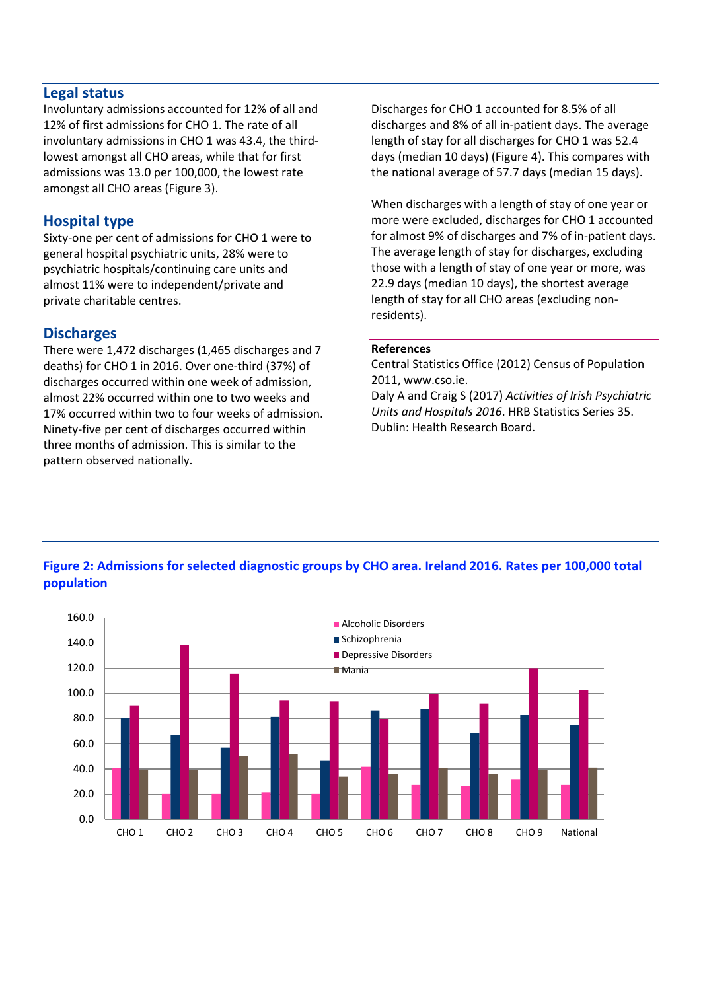## **Legal status**

Involuntary admissions accounted for 12% of all and 12% of first admissions for CHO 1. The rate of all involuntary admissions in CHO 1 was 43.4, the thirdlowest amongst all CHO areas, while that for first admissions was 13.0 per 100,000, the lowest rate amongst all CHO areas (Figure 3).

## **Hospital type**

Sixty-one per cent of admissions for CHO 1 were to general hospital psychiatric units, 28% were to psychiatric hospitals/continuing care units and almost 11% were to independent/private and private charitable centres.

## **Discharges**

There were 1,472 discharges (1,465 discharges and 7 deaths) for CHO 1 in 2016. Over one-third (37%) of discharges occurred within one week of admission, almost 22% occurred within one to two weeks and 17% occurred within two to four weeks of admission. Ninety-five per cent of discharges occurred within three months of admission. This is similar to the pattern observed nationally.

Discharges for CHO 1 accounted for 8.5% of all discharges and 8% of all in-patient days. The average length of stay for all discharges for CHO 1 was 52.4 days (median 10 days) (Figure 4). This compares with the national average of 57.7 days (median 15 days).

When discharges with a length of stay of one year or more were excluded, discharges for CHO 1 accounted for almost 9% of discharges and 7% of in-patient days. The average length of stay for discharges, excluding those with a length of stay of one year or more, was 22.9 days (median 10 days), the shortest average length of stay for all CHO areas (excluding nonresidents).

#### **References**

Central Statistics Office (2012) Census of Population 2011, www.cso.ie. Daly A and Craig S (2017) *Activities of Irish Psychiatric Units and Hospitals 2016*. HRB Statistics Series 35. Dublin: Health Research Board.

## 0.0 20.0 40.0 60.0 80.0 100.0 120.0 140.0 160.0 CHO 1 CHO 2 CHO 3 CHO 4 CHO 5 CHO 6 CHO 7 CHO 8 CHO 9 National **Alcoholic Disorders Schizophrenia** Depressive Disorders Mania

# **Figure 2: Admissions for selected diagnostic groups by CHO area. Ireland 2016. Rates per 100,000 total population**